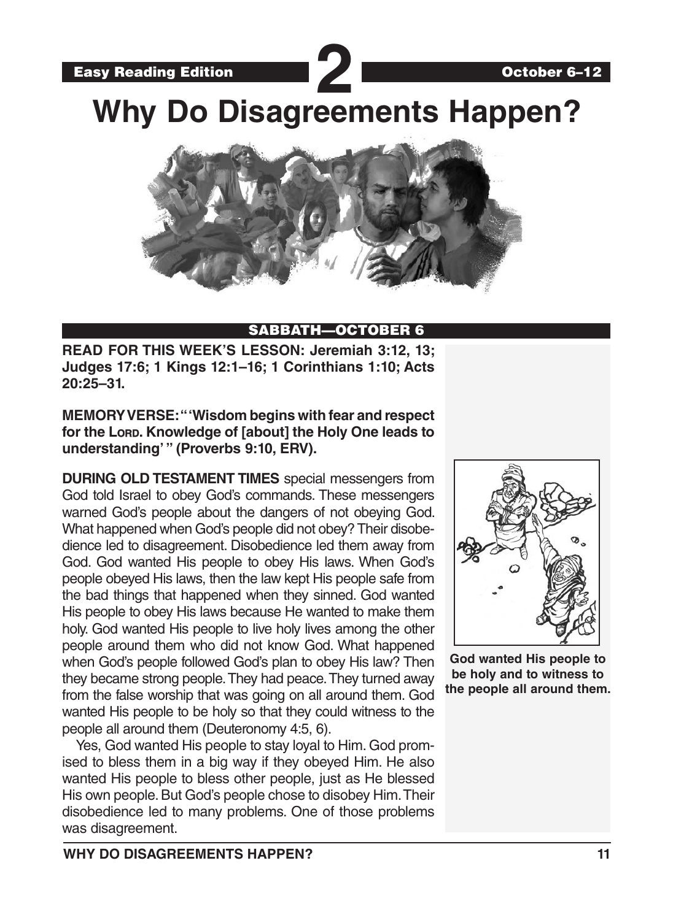Easy Reading Edition **22 Why Do Disagreements Happen?**



#### SABBATH—OCTOBER 6

**READ FOR THIS WEEK'S LESSON: Jeremiah 3:12, 13; Judges 17:6; 1 Kings 12:1–16; 1 Corinthians 1:10; Acts 20:25–31.**

**MEMORY VERSE: "'Wisdom begins with fear and respect**  for the Lorp. Knowledge of [about] the Holy One leads to **understanding' " (Proverbs 9:10, ERV).**

**DURING OLD TESTAMENT TIMES** special messengers from God told Israel to obey God's commands. These messengers warned God's people about the dangers of not obeying God. What happened when God's people did not obey? Their disobedience led to disagreement. Disobedience led them away from God. God wanted His people to obey His laws. When God's people obeyed His laws, then the law kept His people safe from the bad things that happened when they sinned. God wanted His people to obey His laws because He wanted to make them holy. God wanted His people to live holy lives among the other people around them who did not know God. What happened when God's people followed God's plan to obey His law? Then they became strong people. They had peace. They turned away from the false worship that was going on all around them. God wanted His people to be holy so that they could witness to the people all around them (Deuteronomy 4:5, 6).

Yes, God wanted His people to stay loyal to Him. God promised to bless them in a big way if they obeyed Him. He also wanted His people to bless other people, just as He blessed His own people. But God's people chose to disobey Him. Their disobedience led to many problems. One of those problems was disagreement.



**God wanted His people to be holy and to witness to the people all around them.**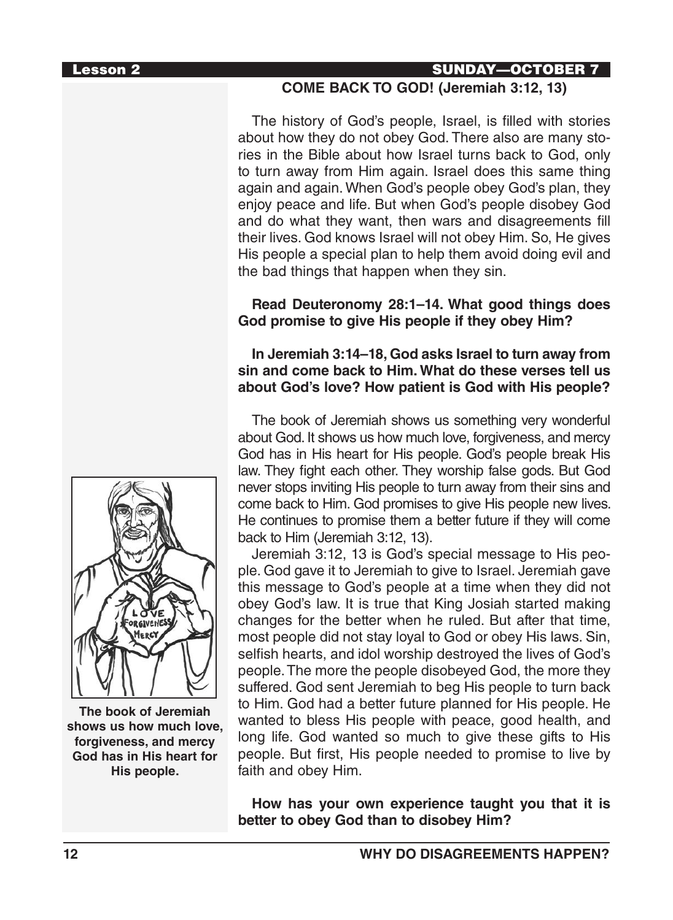## Lesson 2 SUNDAY—OCTOBER 7

#### **COME BACK TO GOD! (Jeremiah 3:12, 13)**

The history of God's people, Israel, is filled with stories about how they do not obey God. There also are many stories in the Bible about how Israel turns back to God, only to turn away from Him again. Israel does this same thing again and again. When God's people obey God's plan, they enjoy peace and life. But when God's people disobey God and do what they want, then wars and disagreements fill their lives. God knows Israel will not obey Him. So, He gives His people a special plan to help them avoid doing evil and the bad things that happen when they sin.

#### **Read Deuteronomy 28:1–14. What good things does God promise to give His people if they obey Him?**

#### **In Jeremiah 3:14–18, God asks Israel to turn away from sin and come back to Him. What do these verses tell us about God's love? How patient is God with His people?**

The book of Jeremiah shows us something very wonderful about God. It shows us how much love, forgiveness, and mercy God has in His heart for His people. God's people break His law. They fight each other. They worship false gods. But God never stops inviting His people to turn away from their sins and come back to Him. God promises to give His people new lives. He continues to promise them a better future if they will come back to Him (Jeremiah 3:12, 13).

Jeremiah 3:12, 13 is God's special message to His people. God gave it to Jeremiah to give to Israel. Jeremiah gave this message to God's people at a time when they did not obey God's law. It is true that King Josiah started making changes for the better when he ruled. But after that time, most people did not stay loyal to God or obey His laws. Sin, selfish hearts, and idol worship destroyed the lives of God's people. The more the people disobeyed God, the more they suffered. God sent Jeremiah to beg His people to turn back to Him. God had a better future planned for His people. He wanted to bless His people with peace, good health, and long life. God wanted so much to give these gifts to His people. But first, His people needed to promise to live by faith and obey Him.

**How has your own experience taught you that it is better to obey God than to disobey Him?**



**The book of Jeremiah shows us how much love, forgiveness, and mercy God has in His heart for His people.**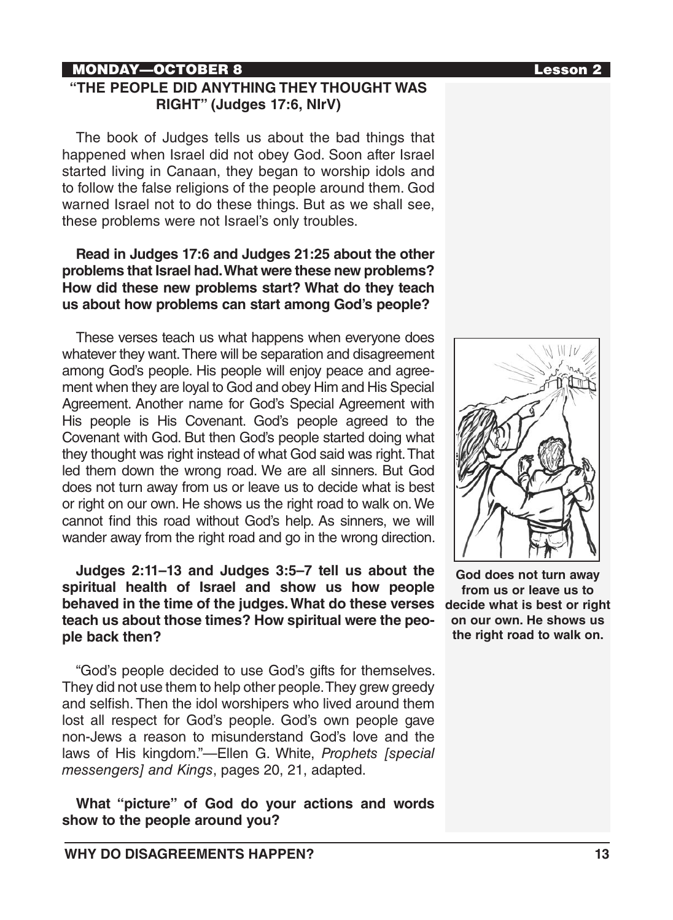### MONDAY—OCTOBER 8 Lesson 2

#### **"THE PEOPLE DID ANYTHING THEY THOUGHT WAS RIGHT" (Judges 17:6, NIrV)**

The book of Judges tells us about the bad things that happened when Israel did not obey God. Soon after Israel started living in Canaan, they began to worship idols and to follow the false religions of the people around them. God warned Israel not to do these things. But as we shall see, these problems were not Israel's only troubles.

#### **Read in Judges 17:6 and Judges 21:25 about the other problems that Israel had. What were these new problems? How did these new problems start? What do they teach us about how problems can start among God's people?**

These verses teach us what happens when everyone does whatever they want. There will be separation and disagreement among God's people. His people will enjoy peace and agreement when they are loyal to God and obey Him and His Special Agreement. Another name for God's Special Agreement with His people is His Covenant. God's people agreed to the Covenant with God. But then God's people started doing what they thought was right instead of what God said was right. That led them down the wrong road. We are all sinners. But God does not turn away from us or leave us to decide what is best or right on our own. He shows us the right road to walk on. We cannot find this road without God's help. As sinners, we will wander away from the right road and go in the wrong direction.

**Judges 2:11–13 and Judges 3:5–7 tell us about the spiritual health of Israel and show us how people behaved in the time of the judges. What do these verses teach us about those times? How spiritual were the people back then?**

"God's people decided to use God's gifts for themselves. They did not use them to help other people. They grew greedy and selfish. Then the idol worshipers who lived around them lost all respect for God's people. God's own people gave non-Jews a reason to misunderstand God's love and the laws of His kingdom."—Ellen G. White, *Prophets [special messengers] and Kings*, pages 20, 21, adapted.

**What "picture" of God do your actions and words show to the people around you?**



**God does not turn away from us or leave us to decide what is best or right on our own. He shows us the right road to walk on.**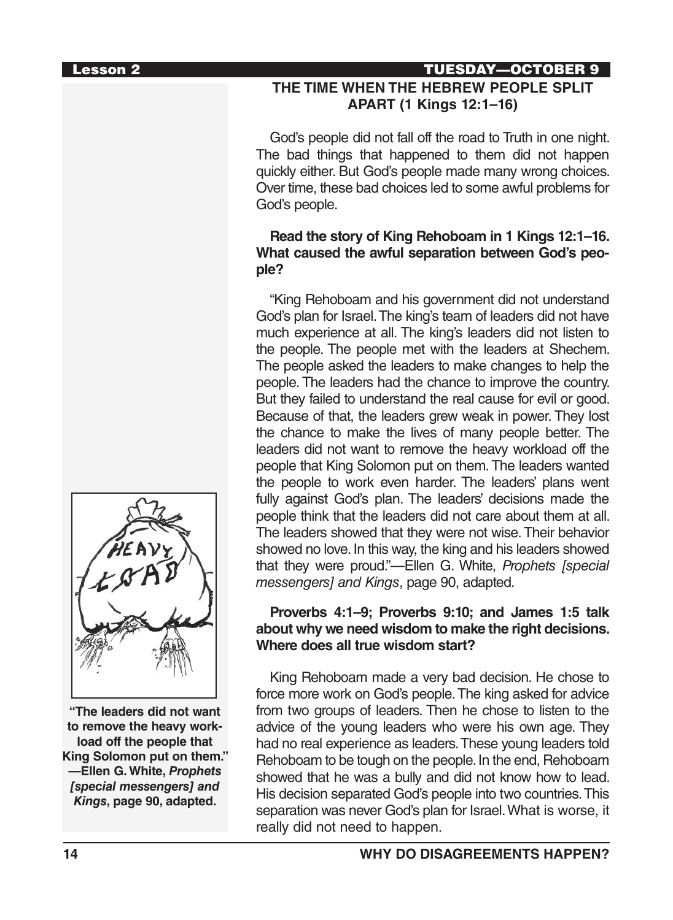# Lesson 2 TUESDAY—OCTOBER 9

# **THE TIME WHEN THE HEBREW PEOPLE SPLIT APART (1 Kings 12:1–16)**

God's people did not fall off the road to Truth in one night. The bad things that happened to them did not happen quickly either. But God's people made many wrong choices. Over time, these bad choices led to some awful problems for God's people.

#### **Read the story of King Rehoboam in 1 Kings 12:1–16. What caused the awful separation between God's people?**

"King Rehoboam and his government did not understand God's plan for Israel. The king's team of leaders did not have much experience at all. The king's leaders did not listen to the people. The people met with the leaders at Shechem. The people asked the leaders to make changes to help the people. The leaders had the chance to improve the country. But they failed to understand the real cause for evil or good. Because of that, the leaders grew weak in power. They lost the chance to make the lives of many people better. The leaders did not want to remove the heavy workload off the people that King Solomon put on them. The leaders wanted the people to work even harder. The leaders' plans went fully against God's plan. The leaders' decisions made the people think that the leaders did not care about them at all. The leaders showed that they were not wise. Their behavior showed no love. In this way, the king and his leaders showed that they were proud."—Ellen G. White, *Prophets [special messengers] and Kings*, page 90, adapted.

### **Proverbs 4:1–9; Proverbs 9:10; and James 1:5 talk about why we need wisdom to make the right decisions. Where does all true wisdom start?**

King Rehoboam made a very bad decision. He chose to force more work on God's people. The king asked for advice from two groups of leaders. Then he chose to listen to the advice of the young leaders who were his own age. They had no real experience as leaders. These young leaders told Rehoboam to be tough on the people. In the end, Rehoboam showed that he was a bully and did not know how to lead. His decision separated God's people into two countries. This separation was never God's plan for Israel. What is worse, it really did not need to happen.



**"The leaders did not want to remove the heavy workload off the people that King Solomon put on them." —Ellen G. White,** *Prophets [special messengers] and Kings***, page 90, adapted.**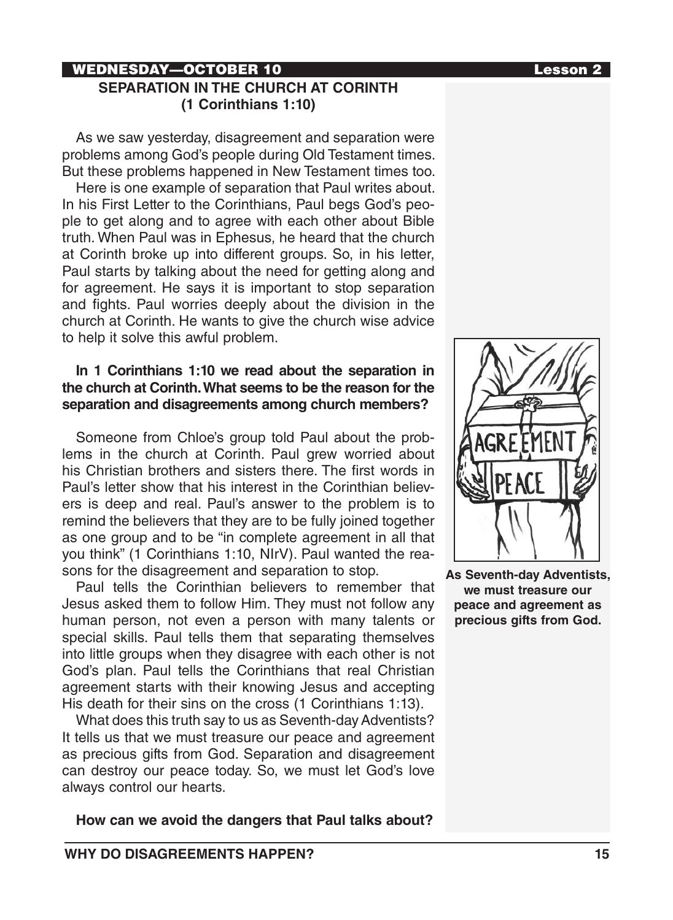### WEDNESDAY—OCTOBER 10 Lesson 2 **SEPARATION IN THE CHURCH AT CORINTH (1 Corinthians 1:10)**

As we saw yesterday, disagreement and separation were problems among God's people during Old Testament times. But these problems happened in New Testament times too.

Here is one example of separation that Paul writes about. In his First Letter to the Corinthians, Paul begs God's people to get along and to agree with each other about Bible truth. When Paul was in Ephesus, he heard that the church at Corinth broke up into different groups. So, in his letter, Paul starts by talking about the need for getting along and for agreement. He says it is important to stop separation and fights. Paul worries deeply about the division in the church at Corinth. He wants to give the church wise advice to help it solve this awful problem.

#### **In 1 Corinthians 1:10 we read about the separation in the church at Corinth. What seems to be the reason for the separation and disagreements among church members?**

Someone from Chloe's group told Paul about the problems in the church at Corinth. Paul grew worried about his Christian brothers and sisters there. The first words in Paul's letter show that his interest in the Corinthian believers is deep and real. Paul's answer to the problem is to remind the believers that they are to be fully joined together as one group and to be "in complete agreement in all that you think" (1 Corinthians 1:10, NIrV). Paul wanted the reasons for the disagreement and separation to stop.

Paul tells the Corinthian believers to remember that Jesus asked them to follow Him. They must not follow any human person, not even a person with many talents or special skills. Paul tells them that separating themselves into little groups when they disagree with each other is not God's plan. Paul tells the Corinthians that real Christian agreement starts with their knowing Jesus and accepting His death for their sins on the cross (1 Corinthians 1:13).

What does this truth say to us as Seventh-day Adventists? It tells us that we must treasure our peace and agreement as precious gifts from God. Separation and disagreement can destroy our peace today. So, we must let God's love always control our hearts.

**How can we avoid the dangers that Paul talks about?**



**As Seventh-day Adventists, we must treasure our peace and agreement as precious gifts from God.**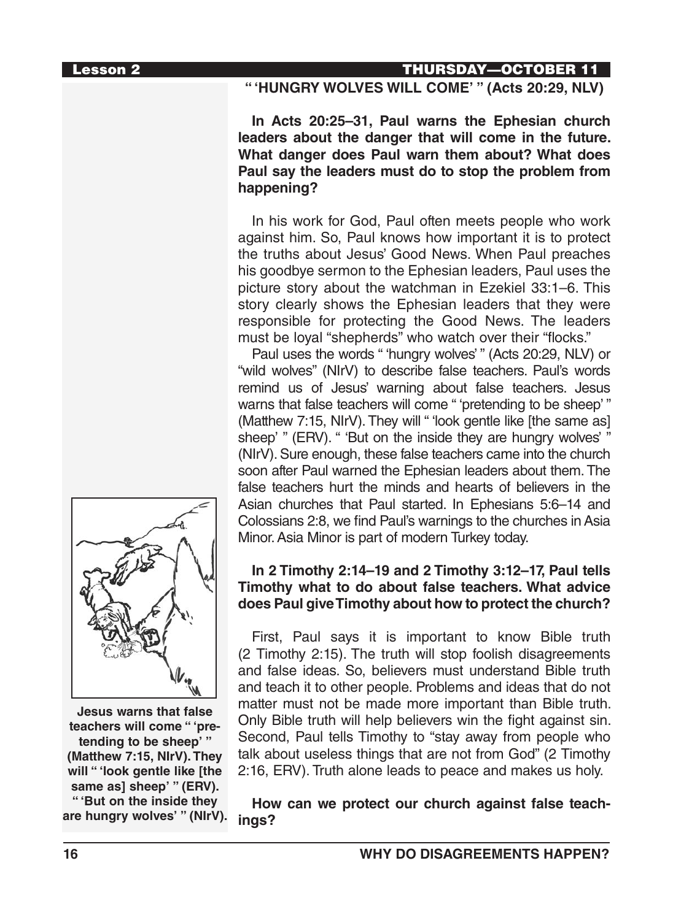### **" 'HUNGRY WOLVES WILL COME' " (Acts 20:29, NLV)**

**In Acts 20:25–31, Paul warns the Ephesian church leaders about the danger that will come in the future. What danger does Paul warn them about? What does Paul say the leaders must do to stop the problem from happening?**

In his work for God, Paul often meets people who work against him. So, Paul knows how important it is to protect the truths about Jesus' Good News. When Paul preaches his goodbye sermon to the Ephesian leaders, Paul uses the picture story about the watchman in Ezekiel 33:1–6. This story clearly shows the Ephesian leaders that they were responsible for protecting the Good News. The leaders must be loyal "shepherds" who watch over their "flocks."

Paul uses the words " 'hungry wolves' " (Acts 20:29, NLV) or "wild wolves" (NIrV) to describe false teachers. Paul's words remind us of Jesus' warning about false teachers. Jesus warns that false teachers will come " 'pretending to be sheep' " (Matthew 7:15, NIrV). They will " 'look gentle like [the same as] sheep' " (ERV). " 'But on the inside they are hungry wolves' " (NIrV). Sure enough, these false teachers came into the church soon after Paul warned the Ephesian leaders about them. The false teachers hurt the minds and hearts of believers in the Asian churches that Paul started. In Ephesians 5:6–14 and Colossians 2:8, we find Paul's warnings to the churches in Asia Minor. Asia Minor is part of modern Turkey today.

#### **In 2 Timothy 2:14–19 and 2 Timothy 3:12–17, Paul tells Timothy what to do about false teachers. What advice does Paul give Timothy about how to protect the church?**

First, Paul says it is important to know Bible truth (2 Timothy 2:15). The truth will stop foolish disagreements and false ideas. So, believers must understand Bible truth and teach it to other people. Problems and ideas that do not matter must not be made more important than Bible truth. Only Bible truth will help believers win the fight against sin. Second, Paul tells Timothy to "stay away from people who talk about useless things that are not from God" (2 Timothy 2:16, ERV). Truth alone leads to peace and makes us holy.

**How can we protect our church against false teachings?** 



**Jesus warns that false teachers will come " 'pretending to be sheep' " (Matthew 7:15, NIrV). They will " 'look gentle like [the same as] sheep' " (ERV). " 'But on the inside they are hungry wolves' " (NIrV).**